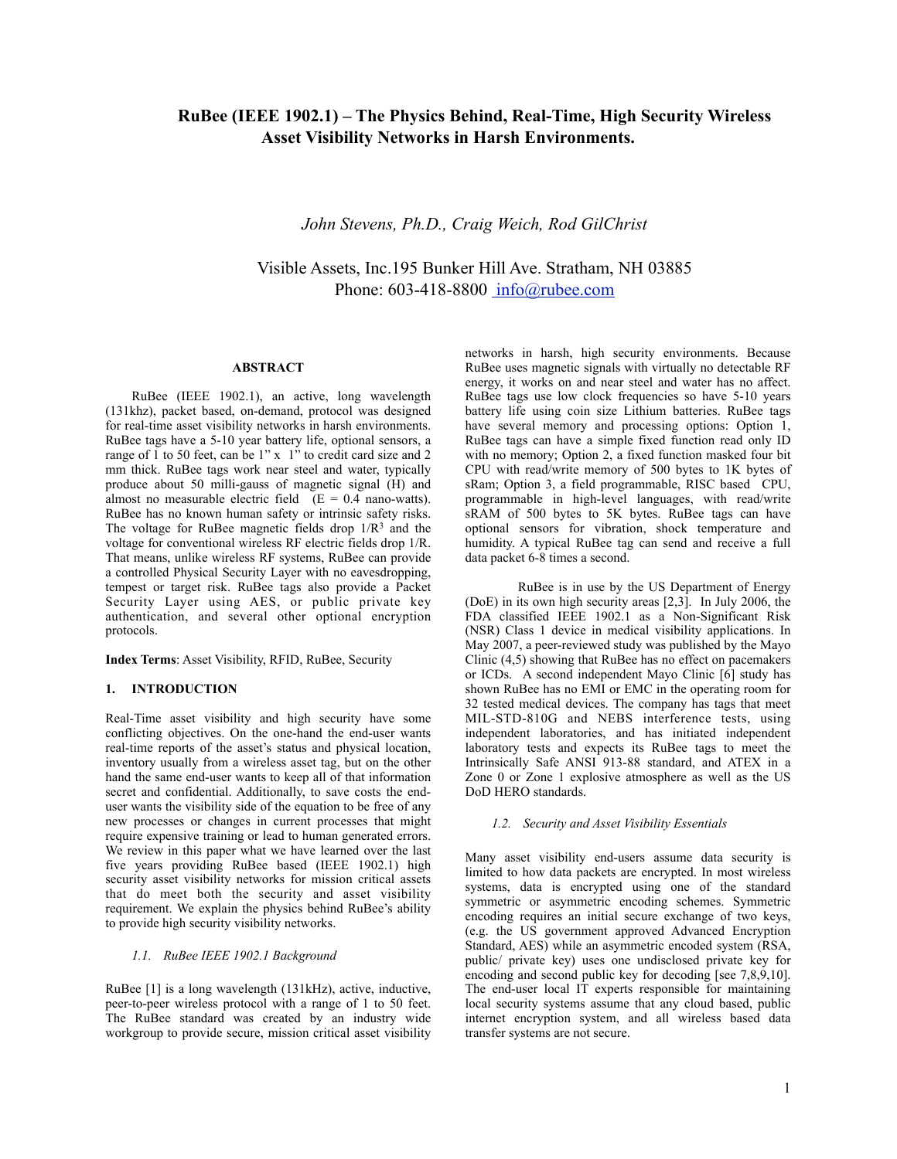# **RuBee (IEEE 1902.1) – The Physics Behind, Real-Time, High Security Wireless Asset Visibility Networks in Harsh Environments.**

*John Stevens, Ph.D., Craig Weich, Rod GilChrist*

Visible Assets, Inc.195 Bunker Hill Ave. Stratham, NH 03885 Phone: 603-418-8800 [info@rubee.com](mailto:john@rubee.com)

#### **ABSTRACT**

RuBee (IEEE 1902.1), an active, long wavelength (131khz), packet based, on-demand, protocol was designed for real-time asset visibility networks in harsh environments. RuBee tags have a 5-10 year battery life, optional sensors, a range of 1 to 50 feet, can be 1" x 1" to credit card size and 2 mm thick. RuBee tags work near steel and water, typically produce about 50 milli-gauss of magnetic signal (H) and almost no measurable electric field  $(E = 0.4$  nano-watts). RuBee has no known human safety or intrinsic safety risks. The voltage for RuBee magnetic fields drop  $1/R<sup>3</sup>$  and the voltage for conventional wireless RF electric fields drop 1/R. That means, unlike wireless RF systems, RuBee can provide a controlled Physical Security Layer with no eavesdropping, tempest or target risk. RuBee tags also provide a Packet Security Layer using AES, or public private key authentication, and several other optional encryption protocols.

**Index Terms**: Asset Visibility, RFID, RuBee, Security

#### **1. INTRODUCTION**

Real-Time asset visibility and high security have some conflicting objectives. On the one-hand the end-user wants real-time reports of the asset's status and physical location, inventory usually from a wireless asset tag, but on the other hand the same end-user wants to keep all of that information secret and confidential. Additionally, to save costs the enduser wants the visibility side of the equation to be free of any new processes or changes in current processes that might require expensive training or lead to human generated errors. We review in this paper what we have learned over the last five years providing RuBee based (IEEE 1902.1) high security asset visibility networks for mission critical assets that do meet both the security and asset visibility requirement. We explain the physics behind RuBee's ability to provide high security visibility networks.

## *1.1. RuBee IEEE 1902.1 Background*

RuBee [1] is a long wavelength (131kHz), active, inductive, peer-to-peer wireless protocol with a range of 1 to 50 feet. The RuBee standard was created by an industry wide workgroup to provide secure, mission critical asset visibility

networks in harsh, high security environments. Because RuBee uses magnetic signals with virtually no detectable RF energy, it works on and near steel and water has no affect. RuBee tags use low clock frequencies so have 5-10 years battery life using coin size Lithium batteries. RuBee tags have several memory and processing options: Option 1, RuBee tags can have a simple fixed function read only ID with no memory; Option 2, a fixed function masked four bit CPU with read/write memory of 500 bytes to 1K bytes of sRam; Option 3, a field programmable, RISC based CPU, programmable in high-level languages, with read/write sRAM of 500 bytes to 5K bytes. RuBee tags can have optional sensors for vibration, shock temperature and humidity. A typical RuBee tag can send and receive a full data packet 6-8 times a second.

RuBee is in use by the US Department of Energy (DoE) in its own high security areas [2,3]. In July 2006, the [FDA](http://www.pictpix.com/PPM/FDALetter.pdf) classified IEEE 1902.1 as a Non-Significant Risk (NSR) Class 1 device in medical visibility applications. In May 2007, a peer-reviewed study was published by the Mayo Clinic (4,5) showing that RuBee has no effect on pacemakers or ICDs. A second independent Mayo Clinic [6] study has shown RuBee has no EMI or EMC in the operating room for 32 tested medical devices. The company has tags that meet MIL-STD-810G and NEBS interference tests, using independent laboratories, and has initiated independent laboratory tests and expects its RuBee tags to meet the Intrinsically Safe ANSI 913-88 standard, and ATEX in a Zone 0 or Zone 1 explosive atmosphere as well as the US DoD HERO standards.

## *1.2. Security and Asset Visibility Essentials*

Many asset visibility end-users assume data security is limited to how data packets are encrypted. In most wireless systems, data is encrypted using one of the standard symmetric or asymmetric encoding schemes. Symmetric encoding requires an initial secure exchange of two keys, (e.g. the US government approved Advanced Encryption Standard, AES) while an asymmetric encoded system (RSA, public/ private key) uses one undisclosed private key for encoding and second public key for decoding [see 7,8,9,10]. The end-user local IT experts responsible for maintaining local security systems assume that any cloud based, public internet encryption system, and all wireless based data transfer systems are not secure.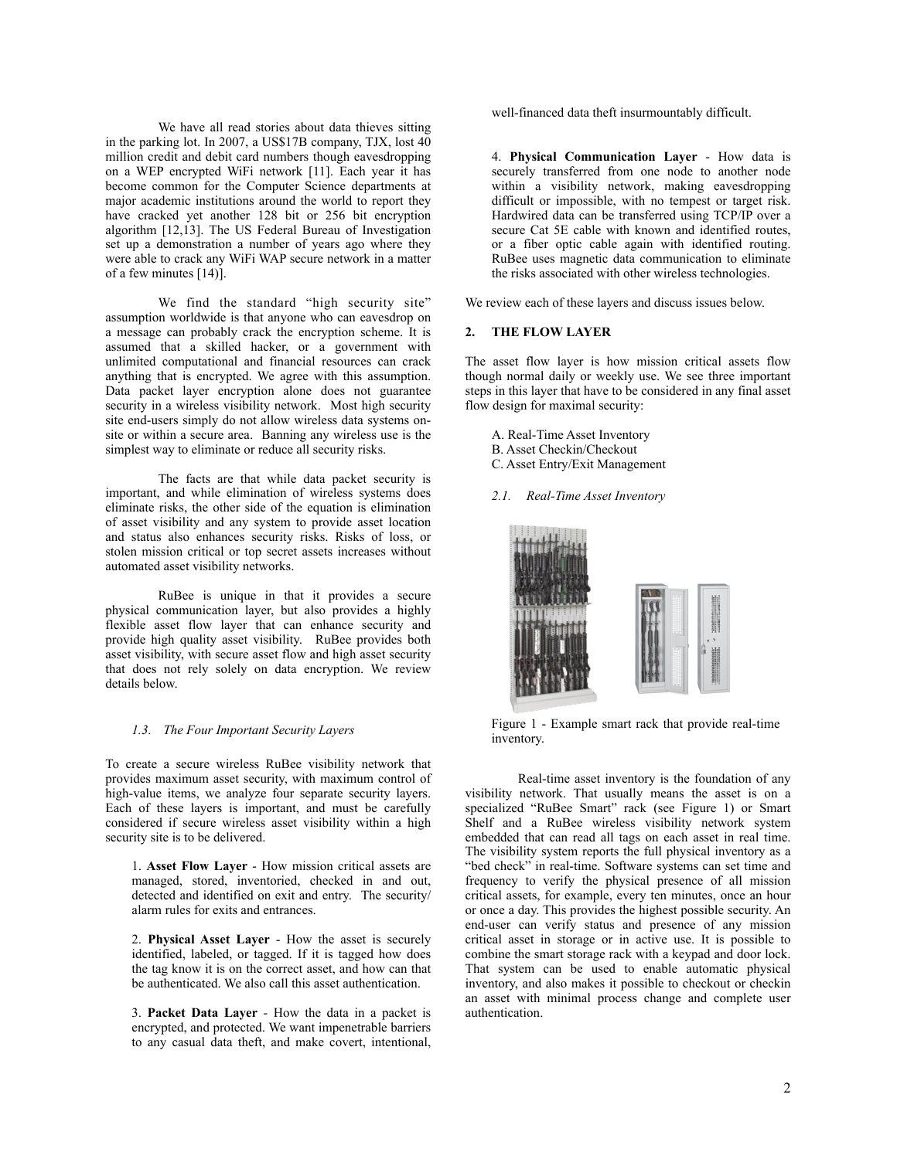We have all read stories about data thieves sitting in the parking lot. In 2007, a US\$17B company, TJX, lost 40 million credit and debit card numbers though eavesdropping on a WEP encrypted WiFi network [11]. Each year it has become common for the Computer Science departments at major academic institutions around the world to report they have cracked yet another 128 bit or 256 bit encryption algorithm [12,13]. The US Federal Bureau of Investigation set up a demonstration a number of years ago where they were able to crack any WiFi WAP secure network in a matter of a few minutes [14)].

We find the standard "high security site" assumption worldwide is that anyone who can eavesdrop on a message can probably crack the encryption scheme. It is assumed that a skilled hacker, or a government with unlimited computational and financial resources can crack anything that is encrypted. We agree with this assumption. Data packet layer encryption alone does not guarantee security in a wireless visibility network. Most high security site end-users simply do not allow wireless data systems onsite or within a secure area. Banning any wireless use is the simplest way to eliminate or reduce all security risks.

The facts are that while data packet security is important, and while elimination of wireless systems does eliminate risks, the other side of the equation is elimination of asset visibility and any system to provide asset location and status also enhances security risks. Risks of loss, or stolen mission critical or top secret assets increases without automated asset visibility networks.

RuBee is unique in that it provides a secure physical communication layer, but also provides a highly flexible asset flow layer that can enhance security and provide high quality asset visibility. RuBee provides both asset visibility, with secure asset flow and high asset security that does not rely solely on data encryption. We review details below.

#### *1.3. The Four Important Security Layers*

To create a secure wireless RuBee visibility network that provides maximum asset security, with maximum control of high-value items, we analyze four separate security layers. Each of these layers is important, and must be carefully considered if secure wireless asset visibility within a high security site is to be delivered.

1. **Asset Flow Layer** - How mission critical assets are managed, stored, inventoried, checked in and out, detected and identified on exit and entry. The security/ alarm rules for exits and entrances.

2. **Physical Asset Layer** - How the asset is securely identified, labeled, or tagged. If it is tagged how does the tag know it is on the correct asset, and how can that be authenticated. We also call this asset authentication.

3. **Packet Data Layer** - How the data in a packet is encrypted, and protected. We want impenetrable barriers to any casual data theft, and make covert, intentional, well-financed data theft insurmountably difficult.

4. **Physical Communication Layer** - How data is securely transferred from one node to another node within a visibility network, making eavesdropping difficult or impossible, with no tempest or target risk. Hardwired data can be transferred using TCP/IP over a secure Cat 5E cable with known and identified routes, or a fiber optic cable again with identified routing. RuBee uses magnetic data communication to eliminate the risks associated with other wireless technologies.

We review each of these layers and discuss issues below.

## **2. THE FLOW LAYER**

The asset flow layer is how mission critical assets flow though normal daily or weekly use. We see three important steps in this layer that have to be considered in any final asset flow design for maximal security:

- A. Real-Time Asset Inventory
- B. Asset Checkin/Checkout
- C. Asset Entry/Exit Management
- *2.1. Real-Time Asset Inventory*



Figure 1 - Example smart rack that provide real-time inventory.

Real-time asset inventory is the foundation of any visibility network. That usually means the asset is on a specialized "RuBee Smart" rack (see Figure 1) or Smart Shelf and a RuBee wireless visibility network system embedded that can read all tags on each asset in real time. The visibility system reports the full physical inventory as a "bed check" in real-time. Software systems can set time and frequency to verify the physical presence of all mission critical assets, for example, every ten minutes, once an hour or once a day. This provides the highest possible security. An end-user can verify status and presence of any mission critical asset in storage or in active use. It is possible to combine the smart storage rack with a keypad and door lock. That system can be used to enable automatic physical inventory, and also makes it possible to checkout or checkin an asset with minimal process change and complete user authentication.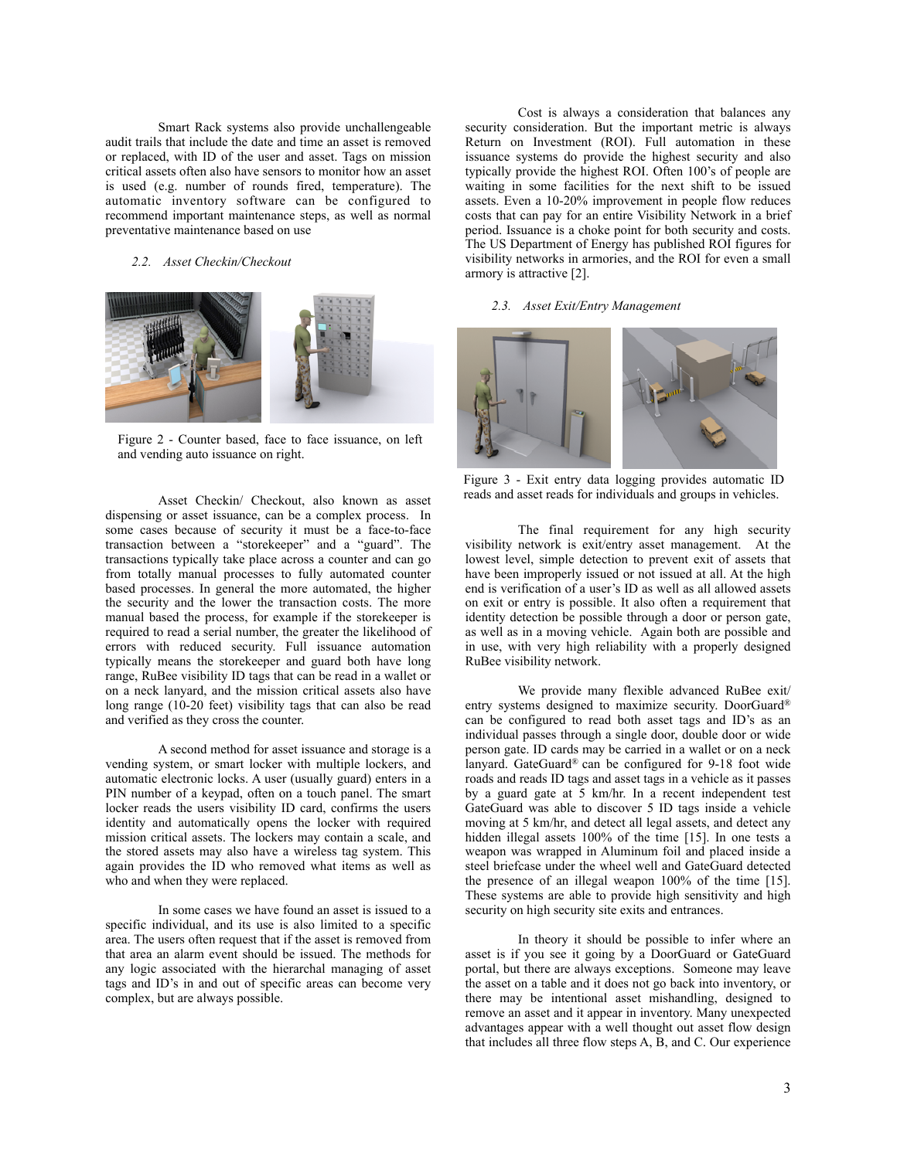Smart Rack systems also provide unchallengeable audit trails that include the date and time an asset is removed or replaced, with ID of the user and asset. Tags on mission critical assets often also have sensors to monitor how an asset is used (e.g. number of rounds fired, temperature). The automatic inventory software can be configured to recommend important maintenance steps, as well as normal preventative maintenance based on use

#### *2.2. Asset Checkin/Checkout*



Figure 2 - Counter based, face to face issuance, on left and vending auto issuance on right.

Asset Checkin/ Checkout, also known as asset dispensing or asset issuance, can be a complex process. In some cases because of security it must be a face-to-face transaction between a "storekeeper" and a "guard". The transactions typically take place across a counter and can go from totally manual processes to fully automated counter based processes. In general the more automated, the higher the security and the lower the transaction costs. The more manual based the process, for example if the storekeeper is required to read a serial number, the greater the likelihood of errors with reduced security. Full issuance automation typically means the storekeeper and guard both have long range, RuBee visibility ID tags that can be read in a wallet or on a neck lanyard, and the mission critical assets also have long range (10-20 feet) visibility tags that can also be read and verified as they cross the counter.

A second method for asset issuance and storage is a vending system, or smart locker with multiple lockers, and automatic electronic locks. A user (usually guard) enters in a PIN number of a keypad, often on a touch panel. The smart locker reads the users visibility ID card, confirms the users identity and automatically opens the locker with required mission critical assets. The lockers may contain a scale, and the stored assets may also have a wireless tag system. This again provides the ID who removed what items as well as who and when they were replaced.

In some cases we have found an asset is issued to a specific individual, and its use is also limited to a specific area. The users often request that if the asset is removed from that area an alarm event should be issued. The methods for any logic associated with the hierarchal managing of asset tags and ID's in and out of specific areas can become very complex, but are always possible.

Cost is always a consideration that balances any security consideration. But the important metric is always Return on Investment (ROI). Full automation in these issuance systems do provide the highest security and also typically provide the highest ROI. Often 100's of people are waiting in some facilities for the next shift to be issued assets. Even a 10-20% improvement in people flow reduces costs that can pay for an entire Visibility Network in a brief period. Issuance is a choke point for both security and costs. The US Department of Energy has published ROI figures for visibility networks in armories, and the ROI for even a small armory is attractive [2].

#### *2.3. Asset Exit/Entry Management*



Figure 3 - Exit entry data logging provides automatic ID reads and asset reads for individuals and groups in vehicles.

The final requirement for any high security visibility network is exit/entry asset management. At the lowest level, simple detection to prevent exit of assets that have been improperly issued or not issued at all. At the high end is verification of a user's ID as well as all allowed assets on exit or entry is possible. It also often a requirement that identity detection be possible through a door or person gate, as well as in a moving vehicle. Again both are possible and in use, with very high reliability with a properly designed RuBee visibility network.

We provide many flexible advanced RuBee exit/ entry systems designed to maximize security. DoorGuard® can be configured to read both asset tags and ID's as an individual passes through a single door, double door or wide person gate. ID cards may be carried in a wallet or on a neck lanyard. GateGuard® can be configured for 9-18 foot wide roads and reads ID tags and asset tags in a vehicle as it passes by a guard gate at 5 km/hr. In a recent independent test GateGuard was able to discover 5 ID tags inside a vehicle moving at 5 km/hr, and detect all legal assets, and detect any hidden illegal assets 100% of the time [15]. In one tests a weapon was wrapped in Aluminum foil and placed inside a steel briefcase under the wheel well and GateGuard detected the presence of an illegal weapon 100% of the time [15]. These systems are able to provide high sensitivity and high security on high security site exits and entrances.

In theory it should be possible to infer where an asset is if you see it going by a DoorGuard or GateGuard portal, but there are always exceptions. Someone may leave the asset on a table and it does not go back into inventory, or there may be intentional asset mishandling, designed to remove an asset and it appear in inventory. Many unexpected advantages appear with a well thought out asset flow design that includes all three flow steps A, B, and C. Our experience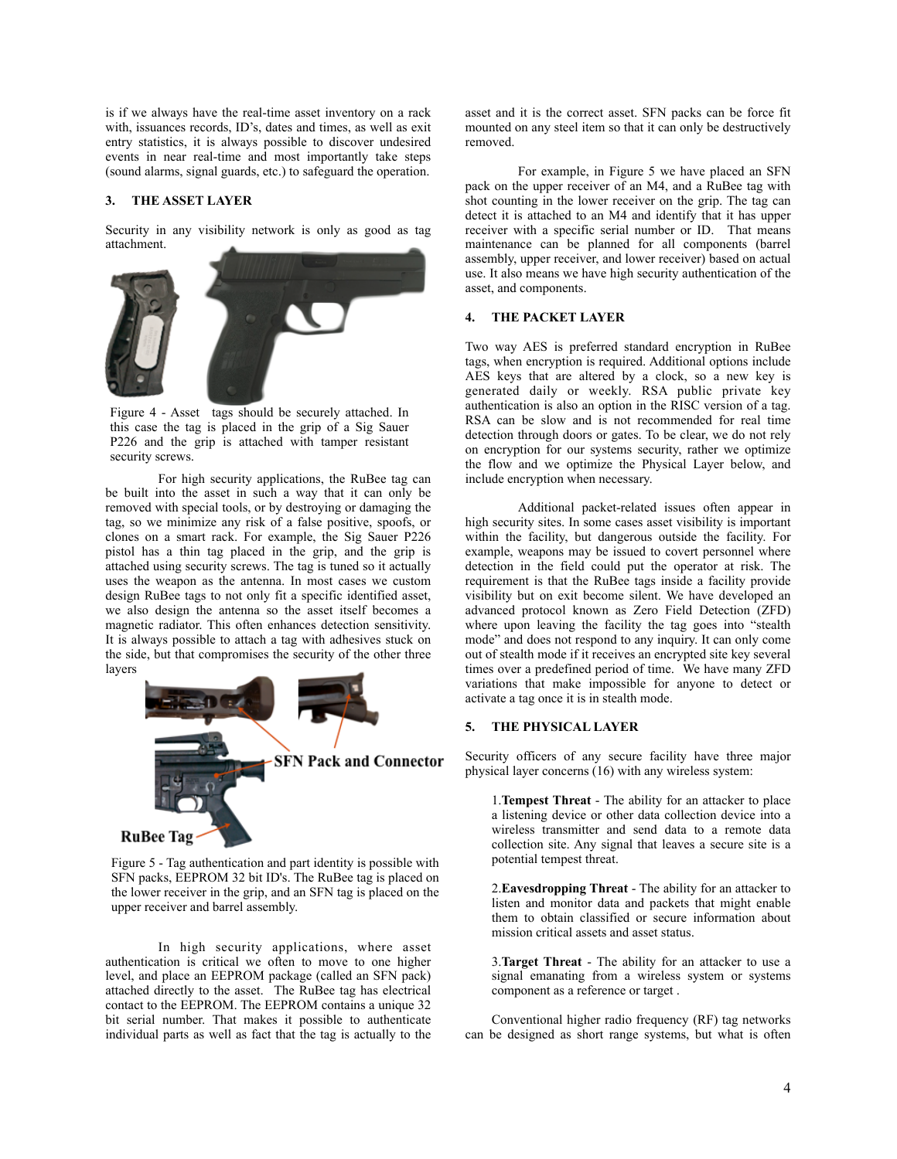is if we always have the real-time asset inventory on a rack with, issuances records, ID's, dates and times, as well as exit entry statistics, it is always possible to discover undesired events in near real-time and most importantly take steps (sound alarms, signal guards, etc.) to safeguard the operation.

#### **3. THE ASSET LAYER**

Security in any visibility network is only as good as tag attachment.



Figure 4 - Asset tags should be securely attached. In this case the tag is placed in the grip of a Sig Sauer P226 and the grip is attached with tamper resistant security screws.

For high security applications, the RuBee tag can be built into the asset in such a way that it can only be removed with special tools, or by destroying or damaging the tag, so we minimize any risk of a false positive, spoofs, or clones on a smart rack. For example, the Sig Sauer P226 pistol has a thin tag placed in the grip, and the grip is attached using security screws. The tag is tuned so it actually uses the weapon as the antenna. In most cases we custom design RuBee tags to not only fit a specific identified asset, we also design the antenna so the asset itself becomes a magnetic radiator. This often enhances detection sensitivity. It is always possible to attach a tag with adhesives stuck on the side, but that compromises the security of the other three layers



Figure 5 - Tag authentication and part identity is possible with SFN packs, EEPROM 32 bit ID's. The RuBee tag is placed on the lower receiver in the grip, and an SFN tag is placed on the upper receiver and barrel assembly.

In high security applications, where asset authentication is critical we often to move to one higher level, and place an EEPROM package (called an SFN pack) attached directly to the asset. The RuBee tag has electrical contact to the EEPROM. The EEPROM contains a unique 32 bit serial number. That makes it possible to authenticate individual parts as well as fact that the tag is actually to the

asset and it is the correct asset. SFN packs can be force fit mounted on any steel item so that it can only be destructively removed.

For example, in Figure 5 we have placed an SFN pack on the upper receiver of an M4, and a RuBee tag with shot counting in the lower receiver on the grip. The tag can detect it is attached to an M4 and identify that it has upper receiver with a specific serial number or ID. That means maintenance can be planned for all components (barrel assembly, upper receiver, and lower receiver) based on actual use. It also means we have high security authentication of the asset, and components.

# **4. THE PACKET LAYER**

Two way AES is preferred standard encryption in RuBee tags, when encryption is required. Additional options include AES keys that are altered by a clock, so a new key is generated daily or weekly. RSA public private key authentication is also an option in the RISC version of a tag. RSA can be slow and is not recommended for real time detection through doors or gates. To be clear, we do not rely on encryption for our systems security, rather we optimize the flow and we optimize the Physical Layer below, and include encryption when necessary.

Additional packet-related issues often appear in high security sites. In some cases asset visibility is important within the facility, but dangerous outside the facility. For example, weapons may be issued to covert personnel where detection in the field could put the operator at risk. The requirement is that the RuBee tags inside a facility provide visibility but on exit become silent. We have developed an advanced protocol known as Zero Field Detection (ZFD) where upon leaving the facility the tag goes into "stealth mode" and does not respond to any inquiry. It can only come out of stealth mode if it receives an encrypted site key several times over a predefined period of time. We have many ZFD variations that make impossible for anyone to detect or activate a tag once it is in stealth mode.

#### **5. THE PHYSICAL LAYER**

Security officers of any secure facility have three major physical layer concerns (16) with any wireless system:

1.**Tempest Threat** - The ability for an attacker to place a listening device or other data collection device into a wireless transmitter and send data to a remote data collection site. Any signal that leaves a secure site is a potential tempest threat.

2.**Eavesdropping Threat** - The ability for an attacker to listen and monitor data and packets that might enable them to obtain classified or secure information about mission critical assets and asset status.

3.**Target Threat** - The ability for an attacker to use a signal emanating from a wireless system or systems component as a reference or target .

Conventional higher radio frequency (RF) tag networks can be designed as short range systems, but what is often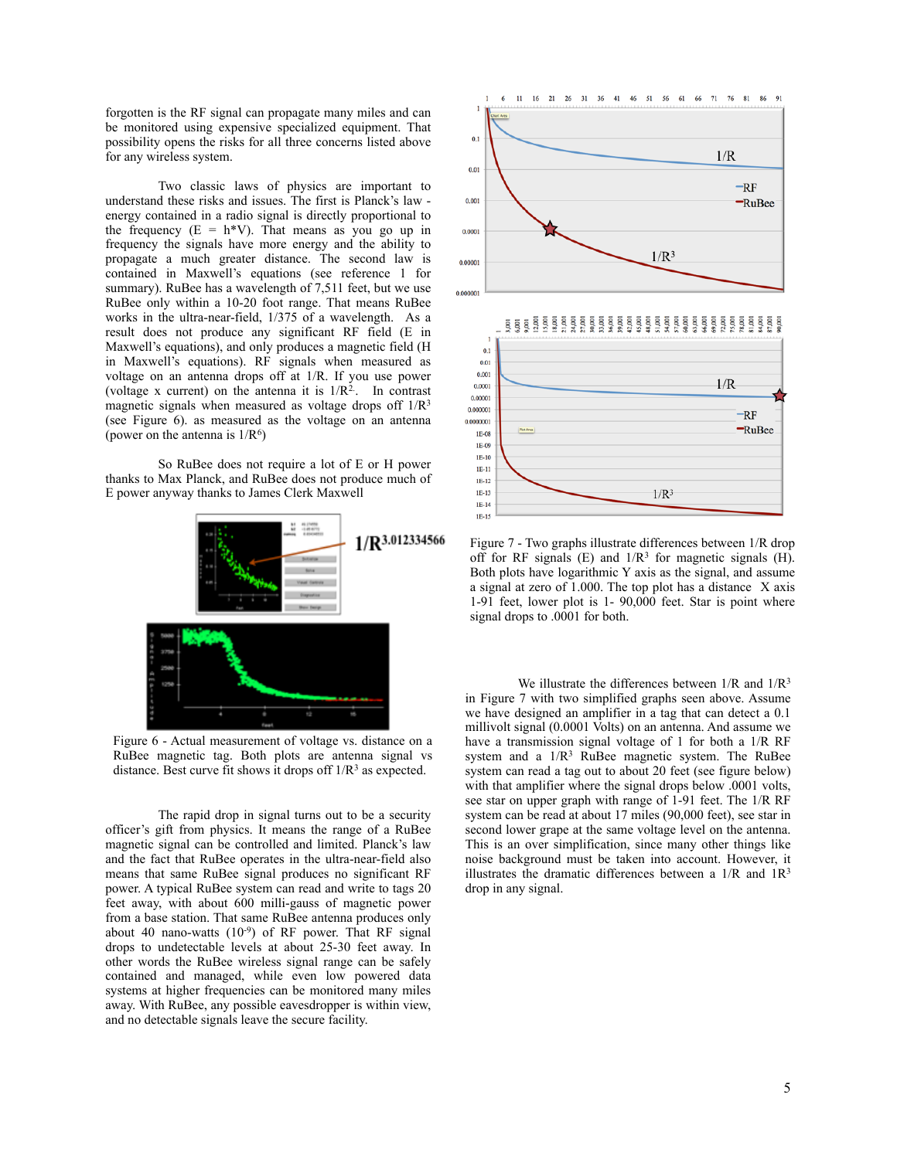forgotten is the RF signal can propagate many miles and can be monitored using expensive specialized equipment. That possibility opens the risks for all three concerns listed above for any wireless system.

Two classic laws of physics are important to understand these risks and issues. The first is Planck's law energy contained in a radio signal is directly proportional to the frequency  $(E = h*V)$ . That means as you go up in frequency the signals have more energy and the ability to propagate a much greater distance. The second law is contained in Maxwell's equations (see reference 1 for summary). RuBee has a wavelength of 7,511 feet, but we use RuBee only within a 10-20 foot range. That means RuBee works in the ultra-near-field, 1/375 of a wavelength. As a result does not produce any significant RF field (E in Maxwell's equations), and only produces a magnetic field (H in Maxwell's equations). RF signals when measured as voltage on an antenna drops off at 1/R. If you use power (voltage x current) on the antenna it is  $1/R<sup>2</sup>$ . In contrast magnetic signals when measured as voltage drops off  $1/R<sup>3</sup>$ (see Figure 6). as measured as the voltage on an antenna (power on the antenna is  $1/R<sup>6</sup>$ )

 So RuBee does not require a lot of E or H power thanks to Max Planck, and RuBee does not produce much of E power anyway thanks to James Clerk Maxwell



Figure 6 - Actual measurement of voltage vs. distance on a RuBee magnetic tag. Both plots are antenna signal vs distance. Best curve fit shows it drops off  $1/R<sup>3</sup>$  as expected.

The rapid drop in signal turns out to be a security officer's gift from physics. It means the range of a RuBee magnetic signal can be controlled and limited. Planck's law and the fact that RuBee operates in the ultra-near-field also means that same RuBee signal produces no significant RF power. A typical RuBee system can read and write to tags 20 feet away, with about 600 milli-gauss of magnetic power from a base station. That same RuBee antenna produces only about 40 nano-watts  $(10^{-9})$  of RF power. That RF signal drops to undetectable levels at about 25-30 feet away. In other words the RuBee wireless signal range can be safely contained and managed, while even low powered data systems at higher frequencies can be monitored many miles away. With RuBee, any possible eavesdropper is within view, and no detectable signals leave the secure facility.



Figure 7 - Two graphs illustrate differences between 1/R drop off for RF signals  $(E)$  and  $1/R<sup>3</sup>$  for magnetic signals  $(H)$ . Both plots have logarithmic Y axis as the signal, and assume a signal at zero of 1.000. The top plot has a distance X axis 1-91 feet, lower plot is 1- 90,000 feet. Star is point where signal drops to .0001 for both.

We illustrate the differences between  $1/R$  and  $1/R<sup>3</sup>$ in Figure 7 with two simplified graphs seen above. Assume we have designed an amplifier in a tag that can detect a 0.1 millivolt signal (0.0001 Volts) on an antenna. And assume we have a transmission signal voltage of 1 for both a 1/R RF system and a  $1/R<sup>3</sup>$  RuBee magnetic system. The RuBee system can read a tag out to about 20 feet (see figure below) with that amplifier where the signal drops below .0001 volts, see star on upper graph with range of 1-91 feet. The 1/R RF system can be read at about 17 miles (90,000 feet), see star in second lower grape at the same voltage level on the antenna. This is an over simplification, since many other things like noise background must be taken into account. However, it illustrates the dramatic differences between a  $1/R$  and  $1R<sup>3</sup>$ drop in any signal.